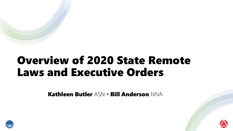# Overview of 2020 State Remote Laws and Executive Orders

Kathleen Butler ASN • Bill Anderson NNA



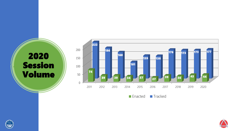Session Volume



**Enacted Tracked** 



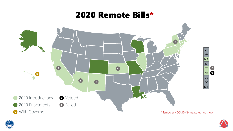# 2020 Remote Bills\*





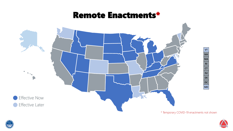### Remote Enactments\*





\* Temporary COVID-19 enactments not shown

**VT NH**

**MA RI CT NJ DE**

> **DC MD**

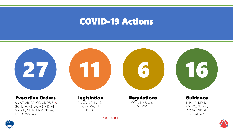## COVID-19 Actions



\* Court Order